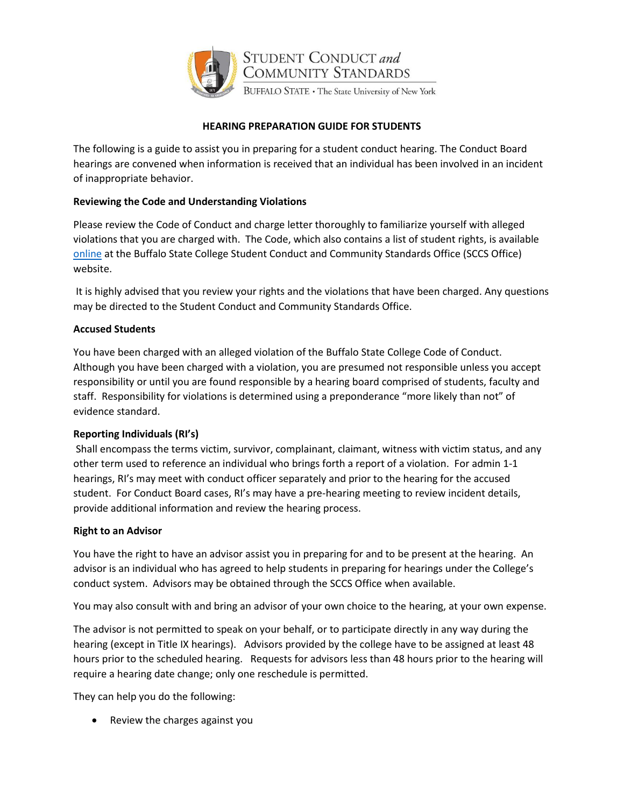

## **HEARING PREPARATION GUIDE FOR STUDENTS**

The following is a guide to assist you in preparing for a student conduct hearing. The Conduct Board hearings are convened when information is received that an individual has been involved in an incident of inappropriate behavior.

# **Reviewing the Code and Understanding Violations**

Please review the Code of Conduct and charge letter thoroughly to familiarize yourself with alleged violations that you are charged with. The Code, which also contains a list of student rights, is available [online](file://///bscappm1/StudentConduct_Standards/Conduct%20Board%20Hearing%20Materials/studentconduct.buffalostate.edu) at the Buffalo State College Student Conduct and Community Standards Office (SCCS Office) website.

It is highly advised that you review your rights and the violations that have been charged. Any questions may be directed to the Student Conduct and Community Standards Office.

# **Accused Students**

You have been charged with an alleged violation of the Buffalo State College Code of Conduct. Although you have been charged with a violation, you are presumed not responsible unless you accept responsibility or until you are found responsible by a hearing board comprised of students, faculty and staff. Responsibility for violations is determined using a preponderance "more likely than not" of evidence standard.

## **Reporting Individuals (RI's)**

Shall encompass the terms victim, survivor, complainant, claimant, witness with victim status, and any other term used to reference an individual who brings forth a report of a violation. For admin 1-1 hearings, RI's may meet with conduct officer separately and prior to the hearing for the accused student. For Conduct Board cases, RI's may have a pre-hearing meeting to review incident details, provide additional information and review the hearing process.

## **Right to an Advisor**

You have the right to have an advisor assist you in preparing for and to be present at the hearing. An advisor is an individual who has agreed to help students in preparing for hearings under the College's conduct system. Advisors may be obtained through the SCCS Office when available.

You may also consult with and bring an advisor of your own choice to the hearing, at your own expense.

The advisor is not permitted to speak on your behalf, or to participate directly in any way during the hearing (except in Title IX hearings). Advisors provided by the college have to be assigned at least 48 hours prior to the scheduled hearing. Requests for advisors less than 48 hours prior to the hearing will require a hearing date change; only one reschedule is permitted.

They can help you do the following:

• Review the charges against you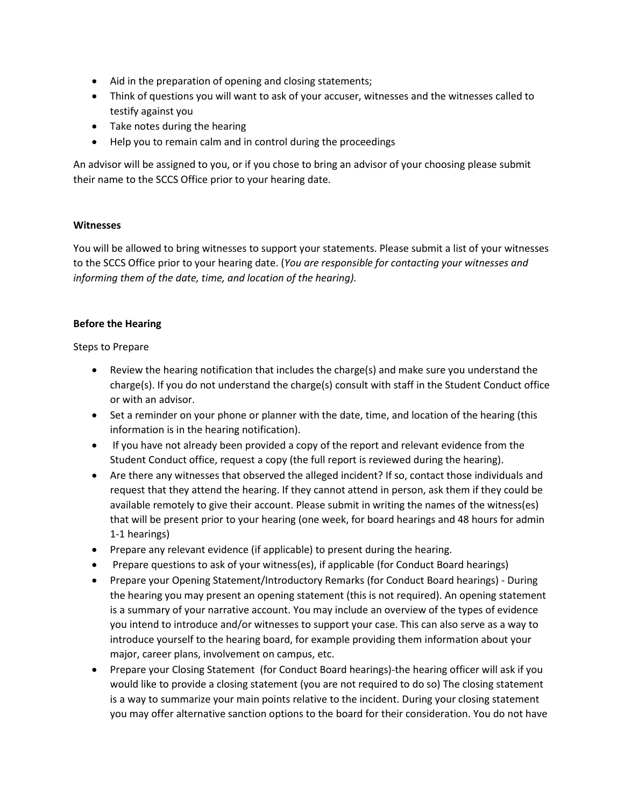- Aid in the preparation of opening and closing statements;
- Think of questions you will want to ask of your accuser, witnesses and the witnesses called to testify against you
- Take notes during the hearing
- Help you to remain calm and in control during the proceedings

An advisor will be assigned to you, or if you chose to bring an advisor of your choosing please submit their name to the SCCS Office prior to your hearing date.

#### **Witnesses**

You will be allowed to bring witnesses to support your statements. Please submit a list of your witnesses to the SCCS Office prior to your hearing date. (*You are responsible for contacting your witnesses and informing them of the date, time, and location of the hearing).*

#### **Before the Hearing**

#### Steps to Prepare

- Review the hearing notification that includes the charge(s) and make sure you understand the charge(s). If you do not understand the charge(s) consult with staff in the Student Conduct office or with an advisor.
- Set a reminder on your phone or planner with the date, time, and location of the hearing (this information is in the hearing notification).
- If you have not already been provided a copy of the report and relevant evidence from the Student Conduct office, request a copy (the full report is reviewed during the hearing).
- Are there any witnesses that observed the alleged incident? If so, contact those individuals and request that they attend the hearing. If they cannot attend in person, ask them if they could be available remotely to give their account. Please submit in writing the names of the witness(es) that will be present prior to your hearing (one week, for board hearings and 48 hours for admin 1-1 hearings)
- Prepare any relevant evidence (if applicable) to present during the hearing.
- Prepare questions to ask of your witness(es), if applicable (for Conduct Board hearings)
- Prepare your Opening Statement/Introductory Remarks (for Conduct Board hearings) During the hearing you may present an opening statement (this is not required). An opening statement is a summary of your narrative account. You may include an overview of the types of evidence you intend to introduce and/or witnesses to support your case. This can also serve as a way to introduce yourself to the hearing board, for example providing them information about your major, career plans, involvement on campus, etc.
- Prepare your Closing Statement (for Conduct Board hearings)-the hearing officer will ask if you would like to provide a closing statement (you are not required to do so) The closing statement is a way to summarize your main points relative to the incident. During your closing statement you may offer alternative sanction options to the board for their consideration. You do not have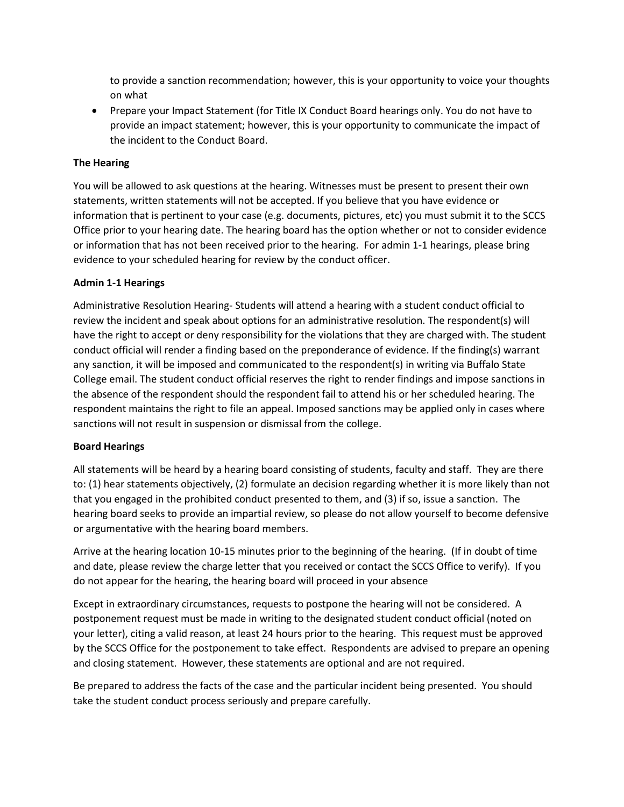to provide a sanction recommendation; however, this is your opportunity to voice your thoughts on what

• Prepare your Impact Statement (for Title IX Conduct Board hearings only. You do not have to provide an impact statement; however, this is your opportunity to communicate the impact of the incident to the Conduct Board.

### **The Hearing**

You will be allowed to ask questions at the hearing. Witnesses must be present to present their own statements, written statements will not be accepted. If you believe that you have evidence or information that is pertinent to your case (e.g. documents, pictures, etc) you must submit it to the SCCS Office prior to your hearing date. The hearing board has the option whether or not to consider evidence or information that has not been received prior to the hearing. For admin 1-1 hearings, please bring evidence to your scheduled hearing for review by the conduct officer.

### **Admin 1-1 Hearings**

Administrative Resolution Hearing- Students will attend a hearing with a student conduct official to review the incident and speak about options for an administrative resolution. The respondent(s) will have the right to accept or deny responsibility for the violations that they are charged with. The student conduct official will render a finding based on the preponderance of evidence. If the finding(s) warrant any sanction, it will be imposed and communicated to the respondent(s) in writing via Buffalo State College email. The student conduct official reserves the right to render findings and impose sanctions in the absence of the respondent should the respondent fail to attend his or her scheduled hearing. The respondent maintains the right to file an appeal. Imposed sanctions may be applied only in cases where sanctions will not result in suspension or dismissal from the college.

#### **Board Hearings**

All statements will be heard by a hearing board consisting of students, faculty and staff. They are there to: (1) hear statements objectively, (2) formulate an decision regarding whether it is more likely than not that you engaged in the prohibited conduct presented to them, and (3) if so, issue a sanction. The hearing board seeks to provide an impartial review, so please do not allow yourself to become defensive or argumentative with the hearing board members.

Arrive at the hearing location 10-15 minutes prior to the beginning of the hearing. (If in doubt of time and date, please review the charge letter that you received or contact the SCCS Office to verify). If you do not appear for the hearing, the hearing board will proceed in your absence

Except in extraordinary circumstances, requests to postpone the hearing will not be considered. A postponement request must be made in writing to the designated student conduct official (noted on your letter), citing a valid reason, at least 24 hours prior to the hearing. This request must be approved by the SCCS Office for the postponement to take effect. Respondents are advised to prepare an opening and closing statement. However, these statements are optional and are not required.

Be prepared to address the facts of the case and the particular incident being presented. You should take the student conduct process seriously and prepare carefully.